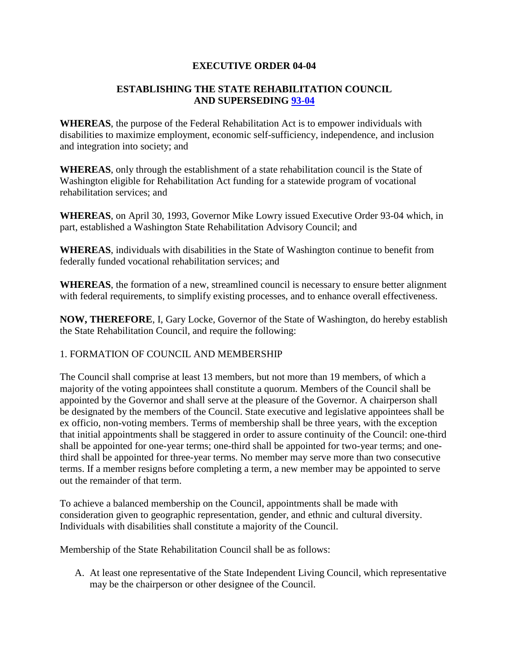## **EXECUTIVE ORDER 04-04**

## **ESTABLISHING THE STATE REHABILITATION COUNCIL AND SUPERSEDING [93-04](http://governor.wa.gov/office/execorders/eoarchive/eo93-04.htm)**

**WHEREAS**, the purpose of the Federal Rehabilitation Act is to empower individuals with disabilities to maximize employment, economic self-sufficiency, independence, and inclusion and integration into society; and

**WHEREAS**, only through the establishment of a state rehabilitation council is the State of Washington eligible for Rehabilitation Act funding for a statewide program of vocational rehabilitation services; and

**WHEREAS**, on April 30, 1993, Governor Mike Lowry issued Executive Order 93-04 which, in part, established a Washington State Rehabilitation Advisory Council; and

**WHEREAS**, individuals with disabilities in the State of Washington continue to benefit from federally funded vocational rehabilitation services; and

**WHEREAS**, the formation of a new, streamlined council is necessary to ensure better alignment with federal requirements, to simplify existing processes, and to enhance overall effectiveness.

**NOW, THEREFORE**, I, Gary Locke, Governor of the State of Washington, do hereby establish the State Rehabilitation Council, and require the following:

#### 1. FORMATION OF COUNCIL AND MEMBERSHIP

The Council shall comprise at least 13 members, but not more than 19 members, of which a majority of the voting appointees shall constitute a quorum. Members of the Council shall be appointed by the Governor and shall serve at the pleasure of the Governor. A chairperson shall be designated by the members of the Council. State executive and legislative appointees shall be ex officio, non-voting members. Terms of membership shall be three years, with the exception that initial appointments shall be staggered in order to assure continuity of the Council: one-third shall be appointed for one-year terms; one-third shall be appointed for two-year terms; and onethird shall be appointed for three-year terms. No member may serve more than two consecutive terms. If a member resigns before completing a term, a new member may be appointed to serve out the remainder of that term.

To achieve a balanced membership on the Council, appointments shall be made with consideration given to geographic representation, gender, and ethnic and cultural diversity. Individuals with disabilities shall constitute a majority of the Council.

Membership of the State Rehabilitation Council shall be as follows:

A. At least one representative of the State Independent Living Council, which representative may be the chairperson or other designee of the Council.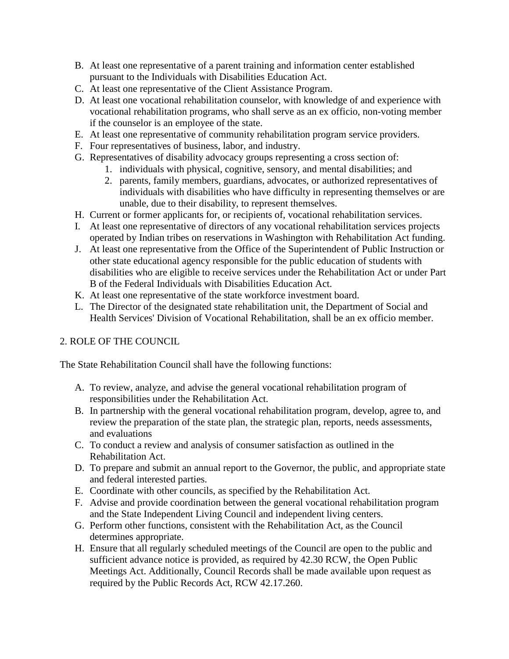- B. At least one representative of a parent training and information center established pursuant to the Individuals with Disabilities Education Act.
- C. At least one representative of the Client Assistance Program.
- D. At least one vocational rehabilitation counselor, with knowledge of and experience with vocational rehabilitation programs, who shall serve as an ex officio, non-voting member if the counselor is an employee of the state.
- E. At least one representative of community rehabilitation program service providers.
- F. Four representatives of business, labor, and industry.
- G. Representatives of disability advocacy groups representing a cross section of:
	- 1. individuals with physical, cognitive, sensory, and mental disabilities; and
	- 2. parents, family members, guardians, advocates, or authorized representatives of individuals with disabilities who have difficulty in representing themselves or are unable, due to their disability, to represent themselves.
- H. Current or former applicants for, or recipients of, vocational rehabilitation services.
- I. At least one representative of directors of any vocational rehabilitation services projects operated by Indian tribes on reservations in Washington with Rehabilitation Act funding.
- J. At least one representative from the Office of the Superintendent of Public Instruction or other state educational agency responsible for the public education of students with disabilities who are eligible to receive services under the Rehabilitation Act or under Part B of the Federal Individuals with Disabilities Education Act.
- K. At least one representative of the state workforce investment board.
- L. The Director of the designated state rehabilitation unit, the Department of Social and Health Services' Division of Vocational Rehabilitation, shall be an ex officio member.

# 2. ROLE OF THE COUNCIL

The State Rehabilitation Council shall have the following functions:

- A. To review, analyze, and advise the general vocational rehabilitation program of responsibilities under the Rehabilitation Act.
- B. In partnership with the general vocational rehabilitation program, develop, agree to, and review the preparation of the state plan, the strategic plan, reports, needs assessments, and evaluations
- C. To conduct a review and analysis of consumer satisfaction as outlined in the Rehabilitation Act.
- D. To prepare and submit an annual report to the Governor, the public, and appropriate state and federal interested parties.
- E. Coordinate with other councils, as specified by the Rehabilitation Act.
- F. Advise and provide coordination between the general vocational rehabilitation program and the State Independent Living Council and independent living centers.
- G. Perform other functions, consistent with the Rehabilitation Act, as the Council determines appropriate.
- H. Ensure that all regularly scheduled meetings of the Council are open to the public and sufficient advance notice is provided, as required by 42.30 RCW, the Open Public Meetings Act. Additionally, Council Records shall be made available upon request as required by the Public Records Act, RCW 42.17.260.